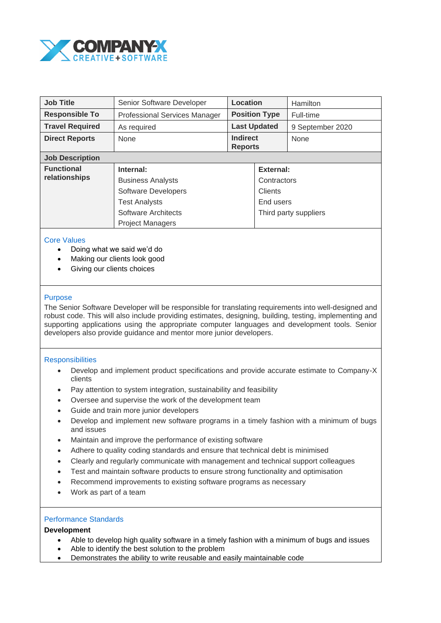

| <b>Job Title</b>                   | Senior Software Developer            | Location                          |                       | Hamilton         |
|------------------------------------|--------------------------------------|-----------------------------------|-----------------------|------------------|
| <b>Responsible To</b>              | <b>Professional Services Manager</b> | <b>Position Type</b>              |                       | Full-time        |
| <b>Travel Required</b>             | As required                          | <b>Last Updated</b>               |                       | 9 September 2020 |
| <b>Direct Reports</b>              | None                                 | <b>Indirect</b><br><b>Reports</b> |                       | None             |
| <b>Job Description</b>             |                                      |                                   |                       |                  |
| <b>Functional</b><br>relationships | Internal:                            |                                   | External:             |                  |
|                                    | <b>Business Analysts</b>             |                                   | Contractors           |                  |
|                                    | <b>Software Developers</b>           |                                   | Clients               |                  |
|                                    | <b>Test Analysts</b>                 |                                   | End users             |                  |
|                                    | Software Architects                  |                                   | Third party suppliers |                  |
|                                    | <b>Project Managers</b>              |                                   |                       |                  |

## Core Values

- Doing what we said we'd do
- Making our clients look good
- Giving our clients choices

### Purpose

The Senior Software Developer will be responsible for translating requirements into well-designed and robust code. This will also include providing estimates, designing, building, testing, implementing and supporting applications using the appropriate computer languages and development tools. Senior developers also provide guidance and mentor more junior developers.

#### **Responsibilities**

- Develop and implement product specifications and provide accurate estimate to Company-X clients
- Pay attention to system integration, sustainability and feasibility
- Oversee and supervise the work of the development team
- Guide and train more junior developers
- Develop and implement new software programs in a timely fashion with a minimum of bugs and issues
- Maintain and improve the performance of existing software
- Adhere to quality coding standards and ensure that technical debt is minimised
- Clearly and regularly communicate with management and technical support colleagues
- Test and maintain software products to ensure strong functionality and optimisation
- Recommend improvements to existing software programs as necessary
- Work as part of a team

#### Performance Standards

### **Development**

- Able to develop high quality software in a timely fashion with a minimum of bugs and issues
- Able to identify the best solution to the problem
- Demonstrates the ability to write reusable and easily maintainable code